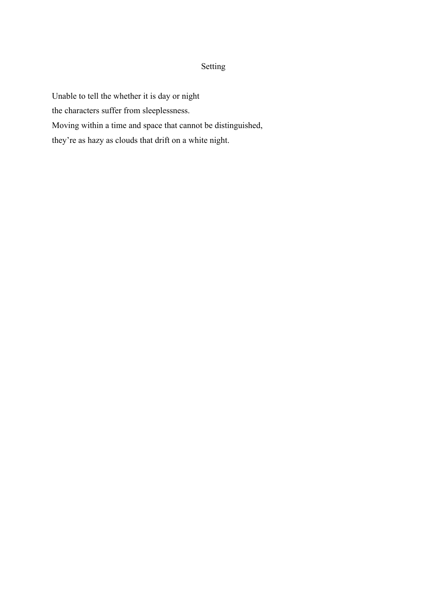#### Setting

Unable to tell the whether it is day or night the characters suffer from sleeplessness. Moving within a time and space that cannot be distinguished, they're as hazy as clouds that drift on a white night.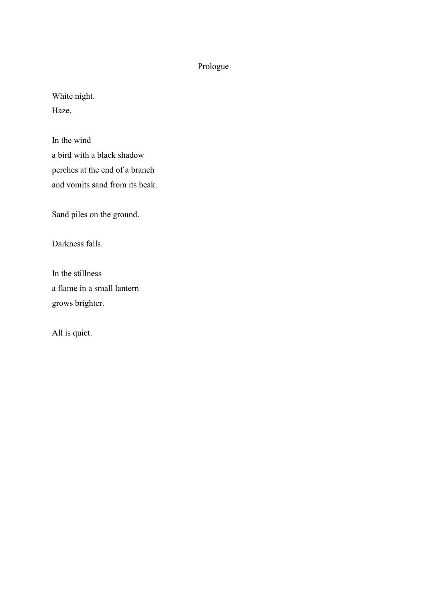### Prologue

White night. Haze.

In the wind a bird with a black shadow perches at the end of a branch and vomits sand from its beak.

Sand piles on the ground.

Darkness falls.

In the stillness a flame in a small lantern grows brighter.

All is quiet.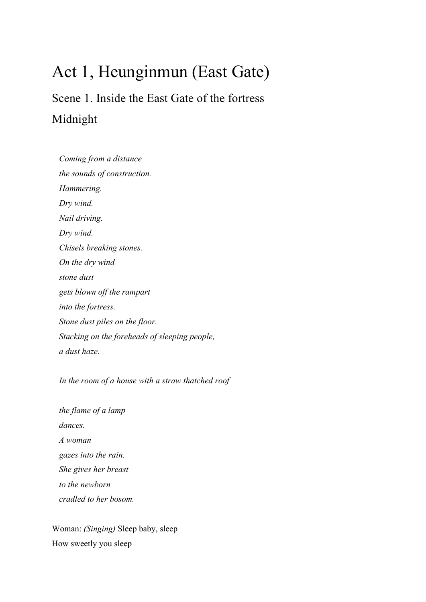## Act 1, Heunginmun (East Gate)

Scene 1. Inside the East Gate of the fortress Midnight

*Coming from a distance the sounds of construction. Hammering. Dry wind. Nail driving. Dry wind. Chisels breaking stones. On the dry wind stone dust gets blown off the rampart into the fortress. Stone dust piles on the floor. Stacking on the foreheads of sleeping people, a dust haze.*

*In the room of a house with a straw thatched roof*

*the flame of a lamp dances. A woman gazes into the rain. She gives her breast to the newborn cradled to her bosom.*

Woman: *(Singing)* Sleep baby, sleep How sweetly you sleep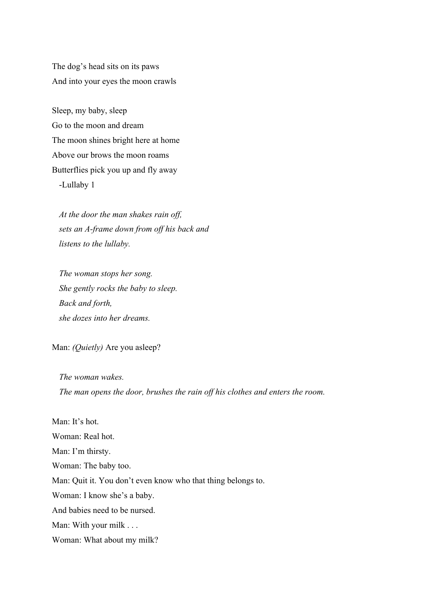The dog's head sits on its paws And into your eyes the moon crawls

Sleep, my baby, sleep Go to the moon and dream The moon shines bright here at home Above our brows the moon roams Butterflies pick you up and fly away -Lullaby 1

*At the door the man shakes rain off, sets an A-frame down from off his back and listens to the lullaby.*

*The woman stops her song. She gently rocks the baby to sleep. Back and forth, she dozes into her dreams.*

Man: *(Quietly)* Are you asleep?

*The woman wakes. The man opens the door, brushes the rain off his clothes and enters the room.* 

Man<sup>-</sup> It's hot. Woman: Real hot. Man: I'm thirsty. Woman: The baby too. Man: Quit it. You don't even know who that thing belongs to. Woman: I know she's a baby. And babies need to be nursed. Man: With your milk . . . Woman: What about my milk?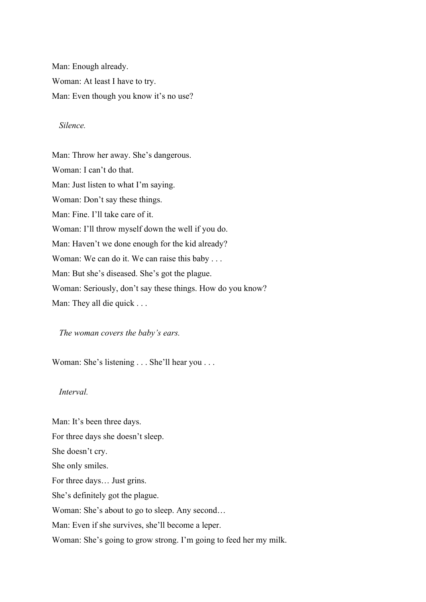Man: Enough already. Woman: At least I have to try. Man: Even though you know it's no use?

#### *Silence.*

Man: Throw her away. She's dangerous. Woman: I can't do that. Man: Just listen to what I'm saying. Woman: Don't say these things. Man: Fine. I'll take care of it. Woman: I'll throw myself down the well if you do. Man: Haven't we done enough for the kid already? Woman: We can do it. We can raise this baby . . . Man: But she's diseased. She's got the plague. Woman: Seriously, don't say these things. How do you know? Man: They all die quick . . .

*The woman covers the baby's ears.*

Woman: She's listening . . . She'll hear you . . .

#### *Interval.*

Man: It's been three days. For three days she doesn't sleep. She doesn't cry. She only smiles. For three days… Just grins. She's definitely got the plague. Woman: She's about to go to sleep. Any second… Man: Even if she survives, she'll become a leper. Woman: She's going to grow strong. I'm going to feed her my milk.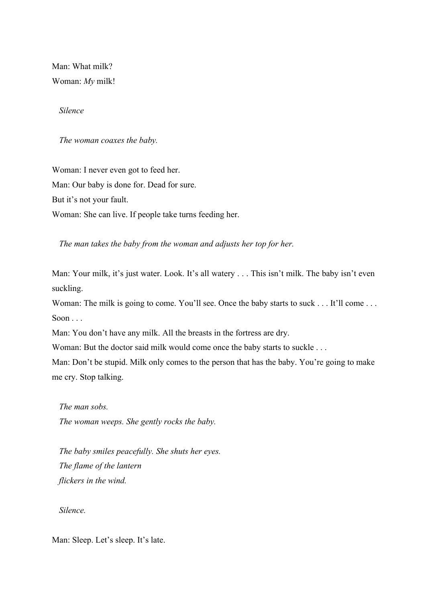Man: What milk? Woman: *My* milk!

*Silence*

*The woman coaxes the baby.*

Woman: I never even got to feed her. Man: Our baby is done for. Dead for sure. But it's not your fault. Woman: She can live. If people take turns feeding her.

*The man takes the baby from the woman and adjusts her top for her.* 

Man: Your milk, it's just water. Look. It's all watery . . . This isn't milk. The baby isn't even suckling.

Woman: The milk is going to come. You'll see. Once the baby starts to suck . . . It'll come . . . Soon .

Man: You don't have any milk. All the breasts in the fortress are dry.

Woman: But the doctor said milk would come once the baby starts to suckle ...

Man: Don't be stupid. Milk only comes to the person that has the baby. You're going to make me cry. Stop talking.

*The man sobs. The woman weeps. She gently rocks the baby.*

*The baby smiles peacefully. She shuts her eyes. The flame of the lantern flickers in the wind.*

*Silence.*

Man: Sleep. Let's sleep. It's late.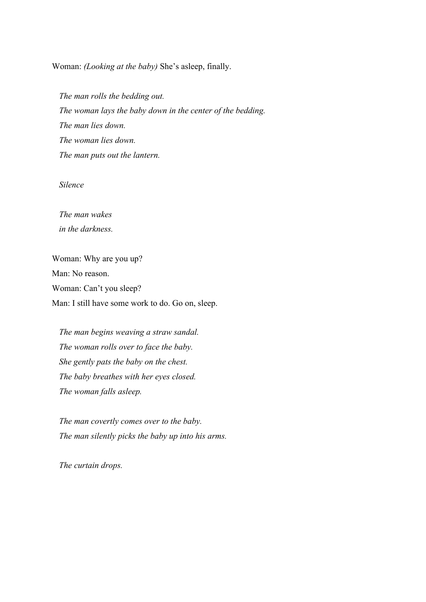Woman: *(Looking at the baby)* She's asleep, finally.

*The man rolls the bedding out. The woman lays the baby down in the center of the bedding. The man lies down. The woman lies down. The man puts out the lantern.*

*Silence*

*The man wakes in the darkness.*

Woman: Why are you up? Man: No reason. Woman: Can't you sleep? Man: I still have some work to do. Go on, sleep.

*The man begins weaving a straw sandal. The woman rolls over to face the baby. She gently pats the baby on the chest. The baby breathes with her eyes closed. The woman falls asleep.*

*The man covertly comes over to the baby. The man silently picks the baby up into his arms.* 

*The curtain drops.*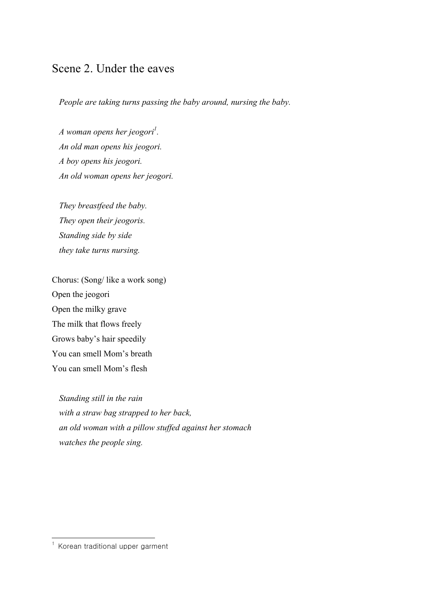## Scene 2. Under the eaves

*People are taking turns passing the baby around, nursing the baby.*

*A* woman opens her jeogori<sup>1</sup>. *An old man opens his jeogori. A boy opens his jeogori. An old woman opens her jeogori.*

*They breastfeed the baby. They open their jeogoris. Standing side by side they take turns nursing.*

Chorus: (Song/ like a work song) Open the jeogori Open the milky grave The milk that flows freely Grows baby's hair speedily You can smell Mom's breath You can smell Mom's flesh

*Standing still in the rain with a straw bag strapped to her back, an old woman with a pillow stuffed against her stomach watches the people sing.*

<sup>&</sup>lt;sup>1</sup> Korean traditional upper garment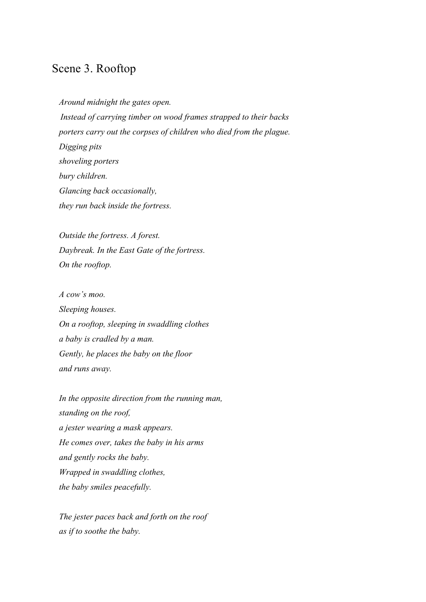## Scene 3. Rooftop

*Around midnight the gates open. Instead of carrying timber on wood frames strapped to their backs porters carry out the corpses of children who died from the plague. Digging pits shoveling porters bury children. Glancing back occasionally, they run back inside the fortress.*

*Outside the fortress. A forest. Daybreak. In the East Gate of the fortress. On the rooftop.*

*A cow's moo. Sleeping houses. On a rooftop, sleeping in swaddling clothes a baby is cradled by a man. Gently, he places the baby on the floor and runs away.* 

*In the opposite direction from the running man, standing on the roof, a jester wearing a mask appears. He comes over, takes the baby in his arms and gently rocks the baby. Wrapped in swaddling clothes, the baby smiles peacefully.*

*The jester paces back and forth on the roof as if to soothe the baby.*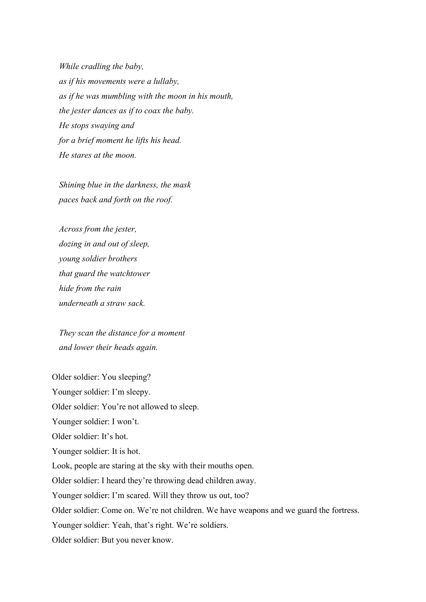*While cradling the baby, as if his movements were a lullaby, as if he was mumbling with the moon in his mouth, the jester dances as if to coax the baby. He stops swaying and for a brief moment he lifts his head. He stares at the moon.*

*Shining blue in the darkness, the mask paces back and forth on the roof.*

*Across from the jester, dozing in and out of sleep, young soldier brothers that guard the watchtower hide from the rain underneath a straw sack.*

*They scan the distance for a moment and lower their heads again.*

Older soldier: You sleeping? Younger soldier: I'm sleepy. Older soldier: You're not allowed to sleep. Younger soldier: I won't. Older soldier: It's hot. Younger soldier: It is hot. Look, people are staring at the sky with their mouths open. Older soldier: I heard they're throwing dead children away. Younger soldier: I'm scared. Will they throw us out, too? Older soldier: Come on. We're not children. We have weapons and we guard the fortress. Younger soldier: Yeah, that's right. We're soldiers. Older soldier: But you never know.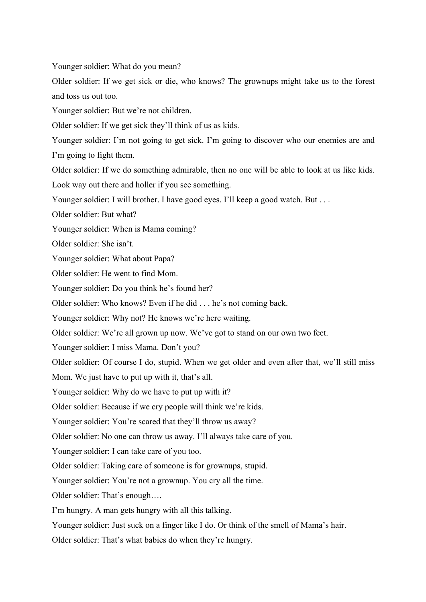Younger soldier: What do you mean?

Older soldier: If we get sick or die, who knows? The grownups might take us to the forest and toss us out too.

Younger soldier: But we're not children.

Older soldier: If we get sick they'll think of us as kids.

Younger soldier: I'm not going to get sick. I'm going to discover who our enemies are and I'm going to fight them.

Older soldier: If we do something admirable, then no one will be able to look at us like kids.

Look way out there and holler if you see something.

Younger soldier: I will brother. I have good eyes. I'll keep a good watch. But . . .

Older soldier: But what?

Younger soldier: When is Mama coming?

Older soldier: She isn't.

Younger soldier: What about Papa?

Older soldier: He went to find Mom.

Younger soldier: Do you think he's found her?

Older soldier: Who knows? Even if he did . . . he's not coming back.

Younger soldier: Why not? He knows we're here waiting.

Older soldier: We're all grown up now. We've got to stand on our own two feet.

Younger soldier: I miss Mama. Don't you?

Older soldier: Of course I do, stupid. When we get older and even after that, we'll still miss

Mom. We just have to put up with it, that's all.

Younger soldier: Why do we have to put up with it?

Older soldier: Because if we cry people will think we're kids.

Younger soldier: You're scared that they'll throw us away?

Older soldier: No one can throw us away. I'll always take care of you.

Younger soldier: I can take care of you too.

Older soldier: Taking care of someone is for grownups, stupid.

Younger soldier: You're not a grownup. You cry all the time.

Older soldier: That's enough….

I'm hungry. A man gets hungry with all this talking.

Younger soldier: Just suck on a finger like I do. Or think of the smell of Mama's hair.

Older soldier: That's what babies do when they're hungry.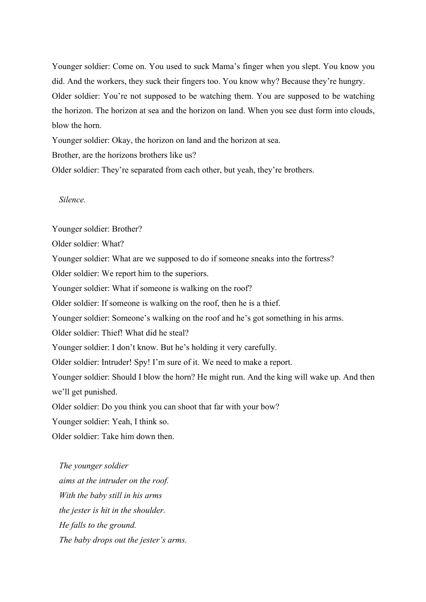Younger soldier: Come on. You used to suck Mama's finger when you slept. You know you did. And the workers, they suck their fingers too. You know why? Because they're hungry. Older soldier: You're not supposed to be watching them. You are supposed to be watching the horizon. The horizon at sea and the horizon on land. When you see dust form into clouds, blow the horn.

Younger soldier: Okay, the horizon on land and the horizon at sea.

Brother, are the horizons brothers like us?

Older soldier: They're separated from each other, but yeah, they're brothers.

*Silence.*

Younger soldier: Brother?

Older soldier: What?

Younger soldier: What are we supposed to do if someone sneaks into the fortress?

Older soldier: We report him to the superiors.

Younger soldier: What if someone is walking on the roof?

Older soldier: If someone is walking on the roof, then he is a thief.

Younger soldier: Someone's walking on the roof and he's got something in his arms.

Older soldier: Thief! What did he steal?

Younger soldier: I don't know. But he's holding it very carefully.

Older soldier: Intruder! Spy! I'm sure of it. We need to make a report.

Younger soldier: Should I blow the horn? He might run. And the king will wake up. And then we'll get punished.

Older soldier: Do you think you can shoot that far with your bow?

Younger soldier: Yeah, I think so.

Older soldier: Take him down then.

*The younger soldier aims at the intruder on the roof. With the baby still in his arms the jester is hit in the shoulder. He falls to the ground. The baby drops out the jester's arms.*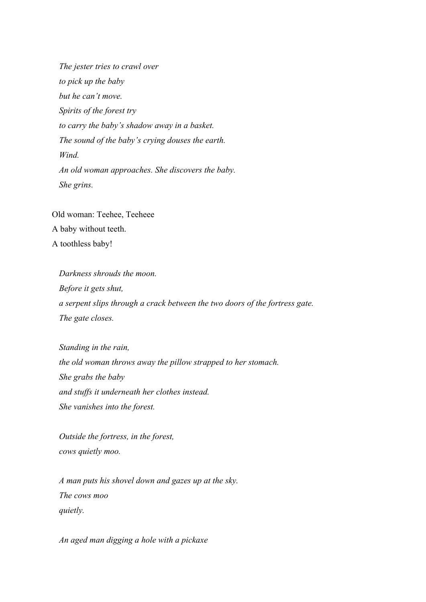*The jester tries to crawl over to pick up the baby but he can't move. Spirits of the forest try to carry the baby's shadow away in a basket. The sound of the baby's crying douses the earth. Wind. An old woman approaches. She discovers the baby. She grins.*

Old woman: Teehee, Teeheee A baby without teeth. A toothless baby!

*Darkness shrouds the moon. Before it gets shut, a serpent slips through a crack between the two doors of the fortress gate. The gate closes.*

*Standing in the rain, the old woman throws away the pillow strapped to her stomach. She grabs the baby and stuffs it underneath her clothes instead. She vanishes into the forest.*

*Outside the fortress, in the forest, cows quietly moo.*

*A man puts his shovel down and gazes up at the sky. The cows moo quietly.*

*An aged man digging a hole with a pickaxe*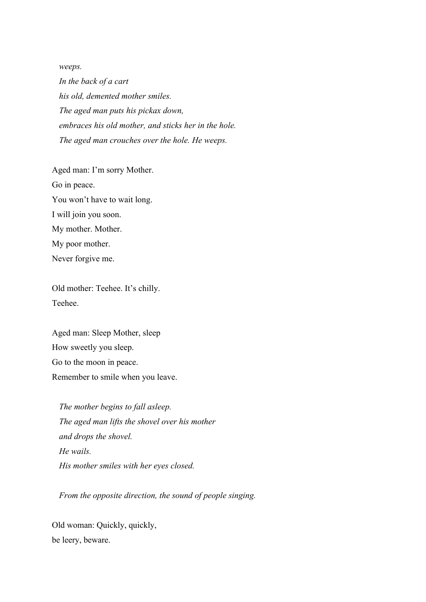*weeps.*

*In the back of a cart his old, demented mother smiles. The aged man puts his pickax down, embraces his old mother, and sticks her in the hole. The aged man crouches over the hole. He weeps.*

Aged man: I'm sorry Mother. Go in peace. You won't have to wait long. I will join you soon. My mother. Mother. My poor mother. Never forgive me.

Old mother: Teehee. It's chilly. Teehee.

Aged man: Sleep Mother, sleep How sweetly you sleep. Go to the moon in peace. Remember to smile when you leave.

*The mother begins to fall asleep. The aged man lifts the shovel over his mother and drops the shovel. He wails. His mother smiles with her eyes closed.*

*From the opposite direction, the sound of people singing.*

Old woman: Quickly, quickly, be leery, beware.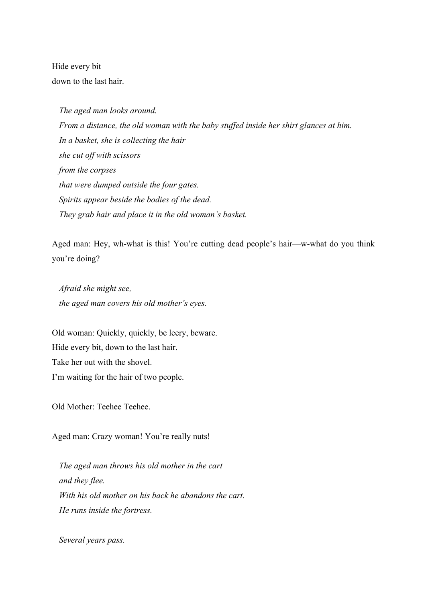Hide every bit down to the last hair.

*The aged man looks around. From a distance, the old woman with the baby stuffed inside her shirt glances at him. In a basket, she is collecting the hair she cut off with scissors from the corpses that were dumped outside the four gates. Spirits appear beside the bodies of the dead. They grab hair and place it in the old woman's basket.*

Aged man: Hey, wh-what is this! You're cutting dead people's hair—w-what do you think you're doing?

*Afraid she might see, the aged man covers his old mother's eyes.*

Old woman: Quickly, quickly, be leery, beware. Hide every bit, down to the last hair. Take her out with the shovel. I'm waiting for the hair of two people.

Old Mother: Teehee Teehee.

Aged man: Crazy woman! You're really nuts!

*The aged man throws his old mother in the cart and they flee. With his old mother on his back he abandons the cart. He runs inside the fortress.*

*Several years pass.*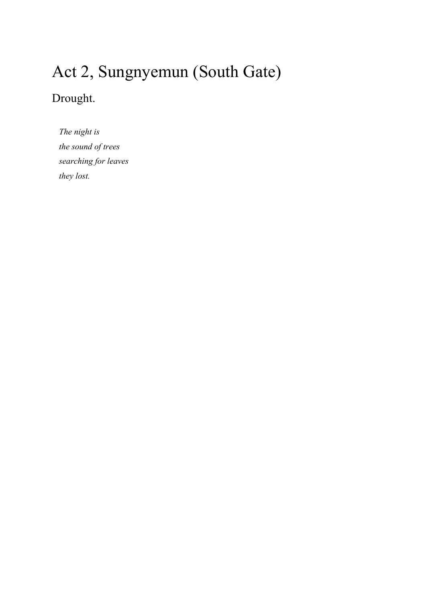# Act 2, Sungnyemun (South Gate)

## Drought.

*The night is the sound of trees searching for leaves they lost.*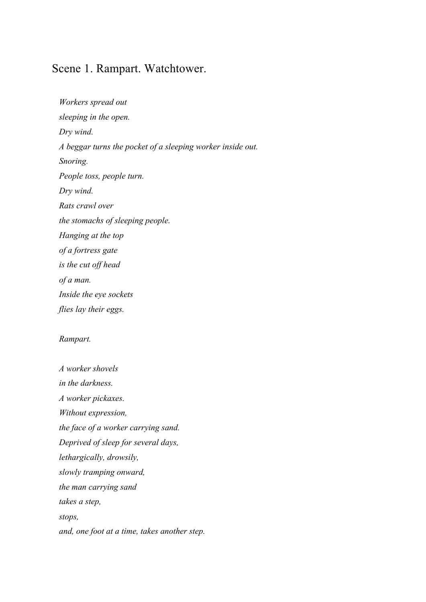### Scene 1. Rampart. Watchtower.

*Workers spread out sleeping in the open. Dry wind. A beggar turns the pocket of a sleeping worker inside out. Snoring. People toss, people turn. Dry wind. Rats crawl over the stomachs of sleeping people. Hanging at the top of a fortress gate is the cut off head of a man. Inside the eye sockets flies lay their eggs.*

#### *Rampart.*

*A worker shovels in the darkness. A worker pickaxes. Without expression, the face of a worker carrying sand. Deprived of sleep for several days, lethargically, drowsily, slowly tramping onward, the man carrying sand takes a step, stops, and, one foot at a time, takes another step.*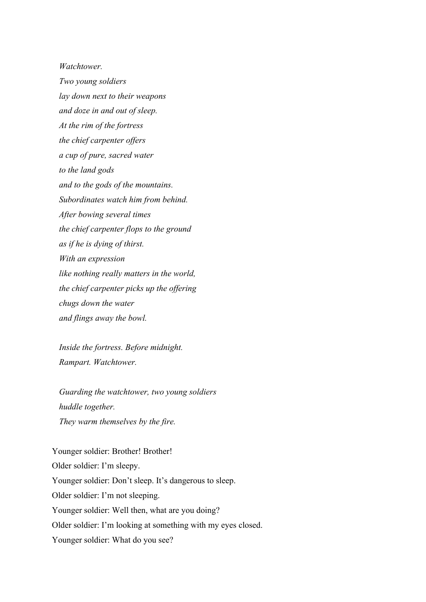*Watchtower.*

*Two young soldiers lay down next to their weapons and doze in and out of sleep. At the rim of the fortress the chief carpenter offers a cup of pure, sacred water to the land gods and to the gods of the mountains. Subordinates watch him from behind. After bowing several times the chief carpenter flops to the ground as if he is dying of thirst. With an expression like nothing really matters in the world, the chief carpenter picks up the offering chugs down the water and flings away the bowl.*

*Inside the fortress. Before midnight. Rampart. Watchtower.*

*Guarding the watchtower, two young soldiers huddle together. They warm themselves by the fire.*

Younger soldier: Brother! Brother! Older soldier: I'm sleepy. Younger soldier: Don't sleep. It's dangerous to sleep. Older soldier: I'm not sleeping. Younger soldier: Well then, what are you doing? Older soldier: I'm looking at something with my eyes closed. Younger soldier: What do you see?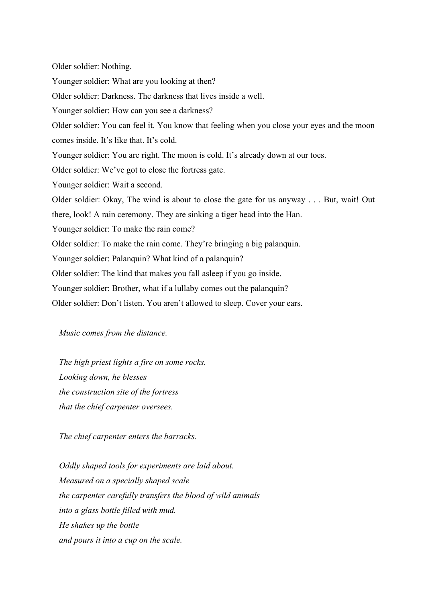Older soldier: Nothing. Younger soldier: What are you looking at then? Older soldier: Darkness. The darkness that lives inside a well. Younger soldier: How can you see a darkness? Older soldier: You can feel it. You know that feeling when you close your eyes and the moon comes inside. It's like that. It's cold. Younger soldier: You are right. The moon is cold. It's already down at our toes. Older soldier: We've got to close the fortress gate. Younger soldier: Wait a second. Older soldier: Okay, The wind is about to close the gate for us anyway . . . But, wait! Out there, look! A rain ceremony. They are sinking a tiger head into the Han. Younger soldier: To make the rain come? Older soldier: To make the rain come. They're bringing a big palanquin. Younger soldier: Palanquin? What kind of a palanquin? Older soldier: The kind that makes you fall asleep if you go inside. Younger soldier: Brother, what if a lullaby comes out the palanquin? Older soldier: Don't listen. You aren't allowed to sleep. Cover your ears.

#### *Music comes from the distance.*

*The high priest lights a fire on some rocks. Looking down, he blesses the construction site of the fortress that the chief carpenter oversees.*

*The chief carpenter enters the barracks.*

*Oddly shaped tools for experiments are laid about. Measured on a specially shaped scale the carpenter carefully transfers the blood of wild animals into a glass bottle filled with mud. He shakes up the bottle and pours it into a cup on the scale.*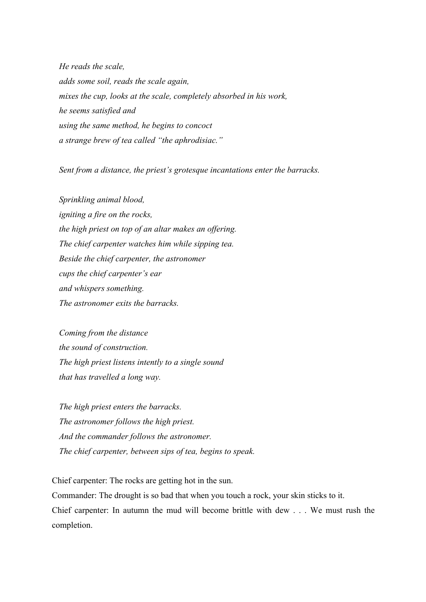*He reads the scale, adds some soil, reads the scale again, mixes the cup, looks at the scale, completely absorbed in his work, he seems satisfied and using the same method, he begins to concoct a strange brew of tea called "the aphrodisiac."*

*Sent from a distance, the priest's grotesque incantations enter the barracks.*

*Sprinkling animal blood, igniting a fire on the rocks, the high priest on top of an altar makes an offering. The chief carpenter watches him while sipping tea. Beside the chief carpenter, the astronomer cups the chief carpenter's ear and whispers something. The astronomer exits the barracks.*

*Coming from the distance the sound of construction. The high priest listens intently to a single sound that has travelled a long way.* 

*The high priest enters the barracks. The astronomer follows the high priest. And the commander follows the astronomer. The chief carpenter, between sips of tea, begins to speak.*

Chief carpenter: The rocks are getting hot in the sun. Commander: The drought is so bad that when you touch a rock, your skin sticks to it. Chief carpenter: In autumn the mud will become brittle with dew . . . We must rush the completion.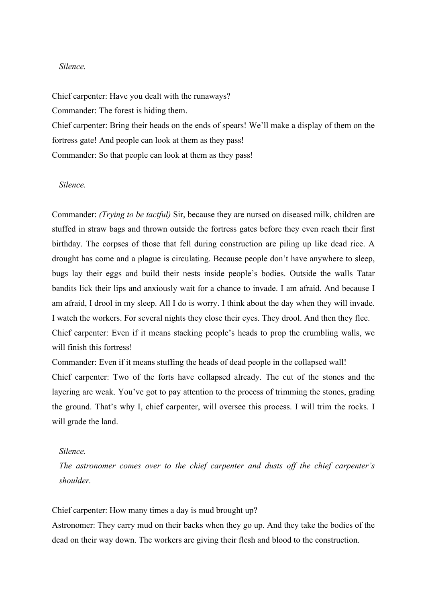#### *Silence.*

Chief carpenter: Have you dealt with the runaways? Commander: The forest is hiding them. Chief carpenter: Bring their heads on the ends of spears! We'll make a display of them on the fortress gate! And people can look at them as they pass!

Commander: So that people can look at them as they pass!

#### *Silence.*

Commander: *(Trying to be tactful)* Sir, because they are nursed on diseased milk, children are stuffed in straw bags and thrown outside the fortress gates before they even reach their first birthday. The corpses of those that fell during construction are piling up like dead rice. A drought has come and a plague is circulating. Because people don't have anywhere to sleep, bugs lay their eggs and build their nests inside people's bodies. Outside the walls Tatar bandits lick their lips and anxiously wait for a chance to invade. I am afraid. And because I am afraid, I drool in my sleep. All I do is worry. I think about the day when they will invade. I watch the workers. For several nights they close their eyes. They drool. And then they flee. Chief carpenter: Even if it means stacking people's heads to prop the crumbling walls, we will finish this fortress!

Commander: Even if it means stuffing the heads of dead people in the collapsed wall!

Chief carpenter: Two of the forts have collapsed already. The cut of the stones and the layering are weak. You've got to pay attention to the process of trimming the stones, grading the ground. That's why I, chief carpenter, will oversee this process. I will trim the rocks. I will grade the land.

#### *Silence.*

*The astronomer comes over to the chief carpenter and dusts off the chief carpenter's shoulder.*

Chief carpenter: How many times a day is mud brought up?

Astronomer: They carry mud on their backs when they go up. And they take the bodies of the dead on their way down. The workers are giving their flesh and blood to the construction.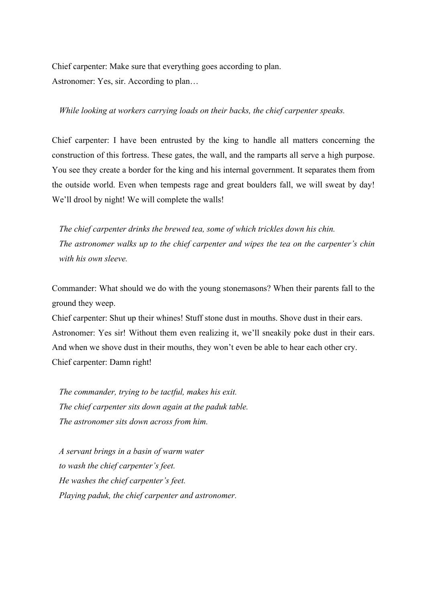Chief carpenter: Make sure that everything goes according to plan. Astronomer: Yes, sir. According to plan…

#### *While looking at workers carrying loads on their backs, the chief carpenter speaks.*

Chief carpenter: I have been entrusted by the king to handle all matters concerning the construction of this fortress. These gates, the wall, and the ramparts all serve a high purpose. You see they create a border for the king and his internal government. It separates them from the outside world. Even when tempests rage and great boulders fall, we will sweat by day! We'll drool by night! We will complete the walls!

*The chief carpenter drinks the brewed tea, some of which trickles down his chin. The astronomer walks up to the chief carpenter and wipes the tea on the carpenter's chin with his own sleeve.*

Commander: What should we do with the young stonemasons? When their parents fall to the ground they weep.

Chief carpenter: Shut up their whines! Stuff stone dust in mouths. Shove dust in their ears. Astronomer: Yes sir! Without them even realizing it, we'll sneakily poke dust in their ears. And when we shove dust in their mouths, they won't even be able to hear each other cry. Chief carpenter: Damn right!

*The commander, trying to be tactful, makes his exit. The chief carpenter sits down again at the paduk table. The astronomer sits down across from him.*

*A servant brings in a basin of warm water to wash the chief carpenter's feet. He washes the chief carpenter's feet. Playing paduk, the chief carpenter and astronomer.*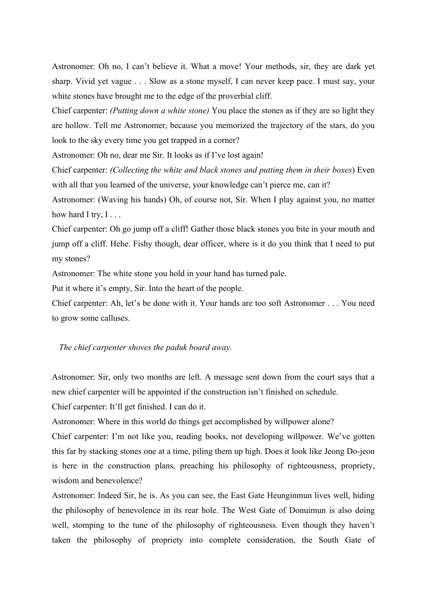Astronomer: Oh no, I can't believe it. What a move! Your methods, sir, they are dark yet sharp. Vivid yet vague . . . Slow as a stone myself, I can never keep pace. I must say, your white stones have brought me to the edge of the proverbial cliff.

Chief carpenter: *(Putting down a white stone)* You place the stones as if they are so light they are hollow. Tell me Astronomer, because you memorized the trajectory of the stars, do you look to the sky every time you get trapped in a corner?

Astronomer: Oh no, dear me Sir. It looks as if I've lost again!

Chief carpenter: *(Collecting the white and black stones and putting them in their boxes*) Even with all that you learned of the universe, your knowledge can't pierce me, can it?

Astronomer: (Waving his hands) Oh, of course not, Sir. When I play against you, no matter how hard I try,  $I \dots$ 

Chief carpenter: Oh go jump off a cliff! Gather those black stones you bite in your mouth and jump off a cliff. Hehe. Fishy though, dear officer, where is it do you think that I need to put my stones?

Astronomer: The white stone you hold in your hand has turned pale.

Put it where it's empty, Sir. Into the heart of the people.

Chief carpenter: Ah, let's be done with it. Your hands are too soft Astronomer . . . You need to grow some calluses.

*The chief carpenter shoves the paduk board away.*

Astronomer: Sir, only two months are left. A message sent down from the court says that a new chief carpenter will be appointed if the construction isn't finished on schedule.

Chief carpenter: It'll get finished. I can do it.

Astronomer: Where in this world do things get accomplished by willpower alone?

Chief carpenter: I'm not like you, reading books, not developing willpower. We've gotten this far by stacking stones one at a time, piling them up high. Does it look like Jeong Do-jeon is here in the construction plans, preaching his philosophy of righteousness, propriety, wisdom and benevolence?

Astronomer: Indeed Sir, he is. As you can see, the East Gate Heunginmun lives well, hiding the philosophy of benevolence in its rear hole. The West Gate of Donuimun is also doing well, stomping to the tune of the philosophy of righteousness. Even though they haven't taken the philosophy of propriety into complete consideration, the South Gate of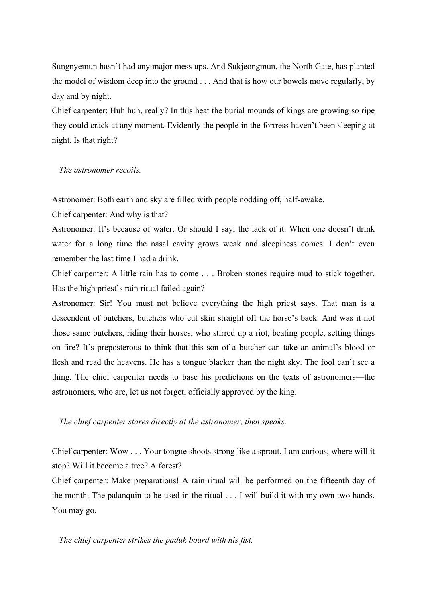Sungnyemun hasn't had any major mess ups. And Sukjeongmun, the North Gate, has planted the model of wisdom deep into the ground . . . And that is how our bowels move regularly, by day and by night.

Chief carpenter: Huh huh, really? In this heat the burial mounds of kings are growing so ripe they could crack at any moment. Evidently the people in the fortress haven't been sleeping at night. Is that right?

*The astronomer recoils.*

Astronomer: Both earth and sky are filled with people nodding off, half-awake.

Chief carpenter: And why is that?

Astronomer: It's because of water. Or should I say, the lack of it. When one doesn't drink water for a long time the nasal cavity grows weak and sleepiness comes. I don't even remember the last time I had a drink.

Chief carpenter: A little rain has to come . . . Broken stones require mud to stick together. Has the high priest's rain ritual failed again?

Astronomer: Sir! You must not believe everything the high priest says. That man is a descendent of butchers, butchers who cut skin straight off the horse's back. And was it not those same butchers, riding their horses, who stirred up a riot, beating people, setting things on fire? It's preposterous to think that this son of a butcher can take an animal's blood or flesh and read the heavens. He has a tongue blacker than the night sky. The fool can't see a thing. The chief carpenter needs to base his predictions on the texts of astronomers—the astronomers, who are, let us not forget, officially approved by the king.

*The chief carpenter stares directly at the astronomer, then speaks.*

Chief carpenter: Wow . . . Your tongue shoots strong like a sprout. I am curious, where will it stop? Will it become a tree? A forest?

Chief carpenter: Make preparations! A rain ritual will be performed on the fifteenth day of the month. The palanquin to be used in the ritual . . . I will build it with my own two hands. You may go.

*The chief carpenter strikes the paduk board with his fist.*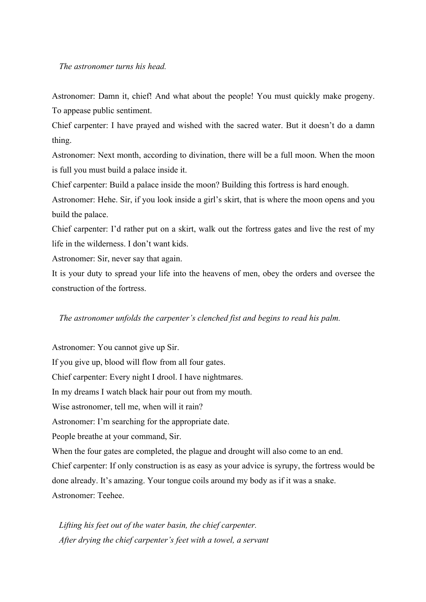#### *The astronomer turns his head.*

Astronomer: Damn it, chief! And what about the people! You must quickly make progeny. To appease public sentiment.

Chief carpenter: I have prayed and wished with the sacred water. But it doesn't do a damn thing.

Astronomer: Next month, according to divination, there will be a full moon. When the moon is full you must build a palace inside it.

Chief carpenter: Build a palace inside the moon? Building this fortress is hard enough.

Astronomer: Hehe. Sir, if you look inside a girl's skirt, that is where the moon opens and you build the palace.

Chief carpenter: I'd rather put on a skirt, walk out the fortress gates and live the rest of my life in the wilderness. I don't want kids.

Astronomer: Sir, never say that again.

It is your duty to spread your life into the heavens of men, obey the orders and oversee the construction of the fortress.

#### *The astronomer unfolds the carpenter's clenched fist and begins to read his palm.*

Astronomer: You cannot give up Sir. If you give up, blood will flow from all four gates. Chief carpenter: Every night I drool. I have nightmares. In my dreams I watch black hair pour out from my mouth. Wise astronomer, tell me, when will it rain? Astronomer: I'm searching for the appropriate date. People breathe at your command, Sir. When the four gates are completed, the plague and drought will also come to an end. Chief carpenter: If only construction is as easy as your advice is syrupy, the fortress would be done already. It's amazing. Your tongue coils around my body as if it was a snake. Astronomer: Teehee.

*Lifting his feet out of the water basin, the chief carpenter. After drying the chief carpenter's feet with a towel, a servant*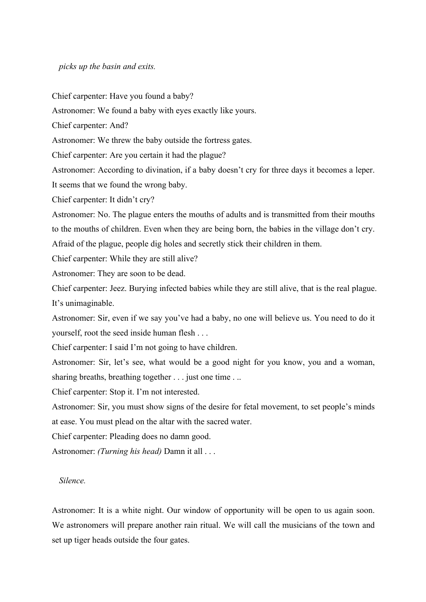*picks up the basin and exits.*

Chief carpenter: Have you found a baby? Astronomer: We found a baby with eyes exactly like yours. Chief carpenter: And? Astronomer: We threw the baby outside the fortress gates. Chief carpenter: Are you certain it had the plague? Astronomer: According to divination, if a baby doesn't cry for three days it becomes a leper. It seems that we found the wrong baby. Chief carpenter: It didn't cry? Astronomer: No. The plague enters the mouths of adults and is transmitted from their mouths to the mouths of children. Even when they are being born, the babies in the village don't cry. Afraid of the plague, people dig holes and secretly stick their children in them. Chief carpenter: While they are still alive? Astronomer: They are soon to be dead. Chief carpenter: Jeez. Burying infected babies while they are still alive, that is the real plague. It's unimaginable. Astronomer: Sir, even if we say you've had a baby, no one will believe us. You need to do it yourself, root the seed inside human flesh . . . Chief carpenter: I said I'm not going to have children. Astronomer: Sir, let's see, what would be a good night for you know, you and a woman, sharing breaths, breathing together . . . just one time . . . Chief carpenter: Stop it. I'm not interested. Astronomer: Sir, you must show signs of the desire for fetal movement, to set people's minds at ease. You must plead on the altar with the sacred water. Chief carpenter: Pleading does no damn good. Astronomer: *(Turning his head)* Damn it all . . .

#### *Silence.*

Astronomer: It is a white night. Our window of opportunity will be open to us again soon. We astronomers will prepare another rain ritual. We will call the musicians of the town and set up tiger heads outside the four gates.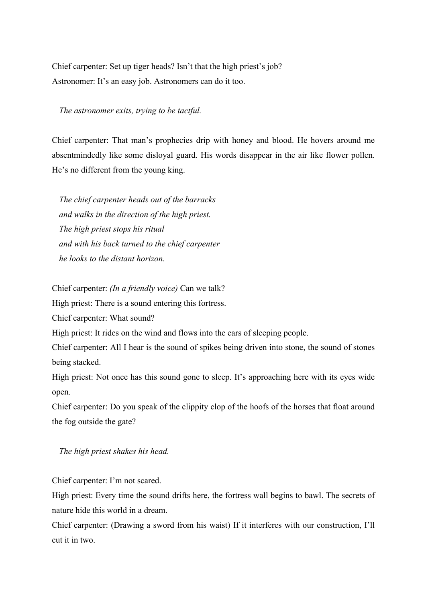Chief carpenter: Set up tiger heads? Isn't that the high priest's job? Astronomer: It's an easy job. Astronomers can do it too.

*The astronomer exits, trying to be tactful.* 

Chief carpenter: That man's prophecies drip with honey and blood. He hovers around me absentmindedly like some disloyal guard. His words disappear in the air like flower pollen. He's no different from the young king.

*The chief carpenter heads out of the barracks and walks in the direction of the high priest. The high priest stops his ritual and with his back turned to the chief carpenter he looks to the distant horizon.*

Chief carpenter: *(In a friendly voice)* Can we talk?

High priest: There is a sound entering this fortress.

Chief carpenter: What sound?

High priest: It rides on the wind and flows into the ears of sleeping people.

Chief carpenter: All I hear is the sound of spikes being driven into stone, the sound of stones being stacked.

High priest: Not once has this sound gone to sleep. It's approaching here with its eyes wide open.

Chief carpenter: Do you speak of the clippity clop of the hoofs of the horses that float around the fog outside the gate?

*The high priest shakes his head.*

Chief carpenter: I'm not scared.

High priest: Every time the sound drifts here, the fortress wall begins to bawl. The secrets of nature hide this world in a dream.

Chief carpenter: (Drawing a sword from his waist) If it interferes with our construction, I'll cut it in two.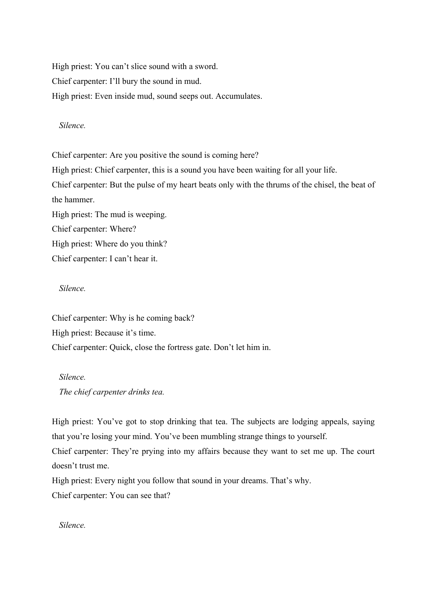High priest: You can't slice sound with a sword. Chief carpenter: I'll bury the sound in mud. High priest: Even inside mud, sound seeps out. Accumulates.

*Silence.*

Chief carpenter: Are you positive the sound is coming here? High priest: Chief carpenter, this is a sound you have been waiting for all your life. Chief carpenter: But the pulse of my heart beats only with the thrums of the chisel, the beat of the hammer. High priest: The mud is weeping. Chief carpenter: Where? High priest: Where do you think? Chief carpenter: I can't hear it.

*Silence.*

Chief carpenter: Why is he coming back? High priest: Because it's time. Chief carpenter: Quick, close the fortress gate. Don't let him in.

*Silence. The chief carpenter drinks tea.*

High priest: You've got to stop drinking that tea. The subjects are lodging appeals, saying that you're losing your mind. You've been mumbling strange things to yourself.

Chief carpenter: They're prying into my affairs because they want to set me up. The court doesn't trust me.

High priest: Every night you follow that sound in your dreams. That's why.

Chief carpenter: You can see that?

*Silence.*